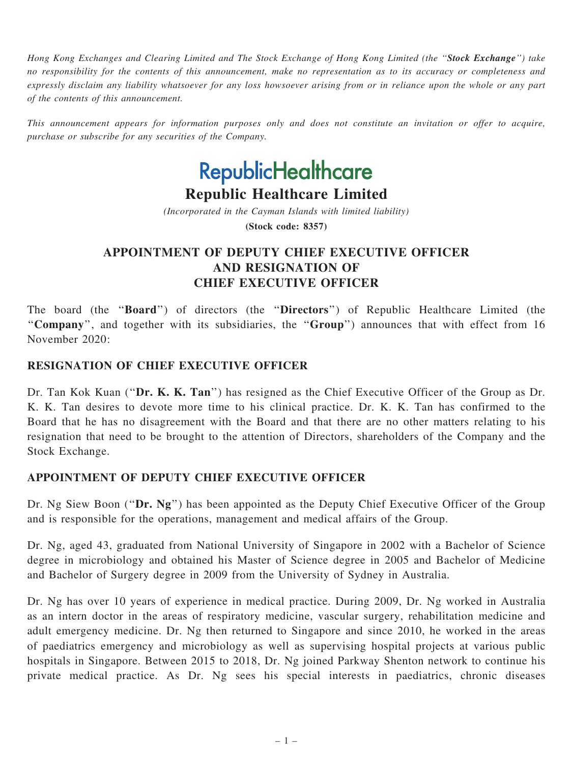Hong Kong Exchanges and Clearing Limited and The Stock Exchange of Hong Kong Limited (the "Stock Exchange") take no responsibility for the contents of this announcement, make no representation as to its accuracy or completeness and expressly disclaim any liability whatsoever for any loss howsoever arising from or in reliance upon the whole or any part of the contents of this announcement.

This announcement appears for information purposes only and does not constitute an invitation or offer to acquire, purchase or subscribe for any securities of the Company.

# **RepublicHealthcare**

## Republic Healthcare Limited

(Incorporated in the Cayman Islands with limited liability)

(Stock code: 8357)

## APPOINTMENT OF DEPUTY CHIEF EXECUTIVE OFFICER AND RESIGNATION OF CHIEF EXECUTIVE OFFICER

The board (the "Board") of directors (the "Directors") of Republic Healthcare Limited (the "Company", and together with its subsidiaries, the "Group") announces that with effect from 16 November 2020:

#### RESIGNATION OF CHIEF EXECUTIVE OFFICER

Dr. Tan Kok Kuan ("Dr. K. K. Tan") has resigned as the Chief Executive Officer of the Group as Dr. K. K. Tan desires to devote more time to his clinical practice. Dr. K. K. Tan has confirmed to the Board that he has no disagreement with the Board and that there are no other matters relating to his resignation that need to be brought to the attention of Directors, shareholders of the Company and the Stock Exchange.

### APPOINTMENT OF DEPUTY CHIEF EXECUTIVE OFFICER

Dr. Ng Siew Boon ("Dr. Ng") has been appointed as the Deputy Chief Executive Officer of the Group and is responsible for the operations, management and medical affairs of the Group.

Dr. Ng, aged 43, graduated from National University of Singapore in 2002 with a Bachelor of Science degree in microbiology and obtained his Master of Science degree in 2005 and Bachelor of Medicine and Bachelor of Surgery degree in 2009 from the University of Sydney in Australia.

Dr. Ng has over 10 years of experience in medical practice. During 2009, Dr. Ng worked in Australia as an intern doctor in the areas of respiratory medicine, vascular surgery, rehabilitation medicine and adult emergency medicine. Dr. Ng then returned to Singapore and since 2010, he worked in the areas of paediatrics emergency and microbiology as well as supervising hospital projects at various public hospitals in Singapore. Between 2015 to 2018, Dr. Ng joined Parkway Shenton network to continue his private medical practice. As Dr. Ng sees his special interests in paediatrics, chronic diseases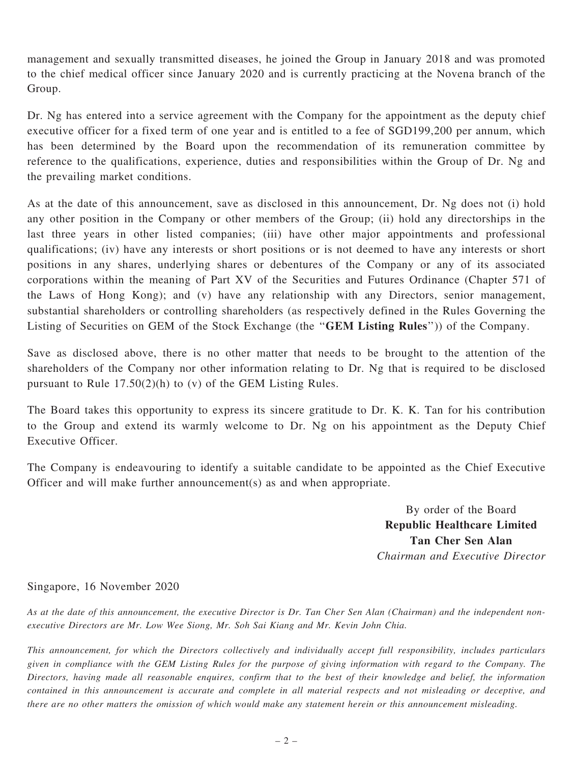management and sexually transmitted diseases, he joined the Group in January 2018 and was promoted to the chief medical officer since January 2020 and is currently practicing at the Novena branch of the Group.

Dr. Ng has entered into a service agreement with the Company for the appointment as the deputy chief executive officer for a fixed term of one year and is entitled to a fee of SGD199,200 per annum, which has been determined by the Board upon the recommendation of its remuneration committee by reference to the qualifications, experience, duties and responsibilities within the Group of Dr. Ng and the prevailing market conditions.

As at the date of this announcement, save as disclosed in this announcement, Dr. Ng does not (i) hold any other position in the Company or other members of the Group; (ii) hold any directorships in the last three years in other listed companies; (iii) have other major appointments and professional qualifications; (iv) have any interests or short positions or is not deemed to have any interests or short positions in any shares, underlying shares or debentures of the Company or any of its associated corporations within the meaning of Part XV of the Securities and Futures Ordinance (Chapter 571 of the Laws of Hong Kong); and (v) have any relationship with any Directors, senior management, substantial shareholders or controlling shareholders (as respectively defined in the Rules Governing the Listing of Securities on GEM of the Stock Exchange (the "GEM Listing Rules")) of the Company.

Save as disclosed above, there is no other matter that needs to be brought to the attention of the shareholders of the Company nor other information relating to Dr. Ng that is required to be disclosed pursuant to Rule 17.50(2)(h) to (v) of the GEM Listing Rules.

The Board takes this opportunity to express its sincere gratitude to Dr. K. K. Tan for his contribution to the Group and extend its warmly welcome to Dr. Ng on his appointment as the Deputy Chief Executive Officer.

The Company is endeavouring to identify a suitable candidate to be appointed as the Chief Executive Officer and will make further announcement(s) as and when appropriate.

> By order of the Board Republic Healthcare Limited Tan Cher Sen Alan Chairman and Executive Director

#### Singapore, 16 November 2020

As at the date of this announcement, the executive Director is Dr. Tan Cher Sen Alan (Chairman) and the independent nonexecutive Directors are Mr. Low Wee Siong, Mr. Soh Sai Kiang and Mr. Kevin John Chia.

This announcement, for which the Directors collectively and individually accept full responsibility, includes particulars given in compliance with the GEM Listing Rules for the purpose of giving information with regard to the Company. The Directors, having made all reasonable enquires, confirm that to the best of their knowledge and belief, the information contained in this announcement is accurate and complete in all material respects and not misleading or deceptive, and there are no other matters the omission of which would make any statement herein or this announcement misleading.